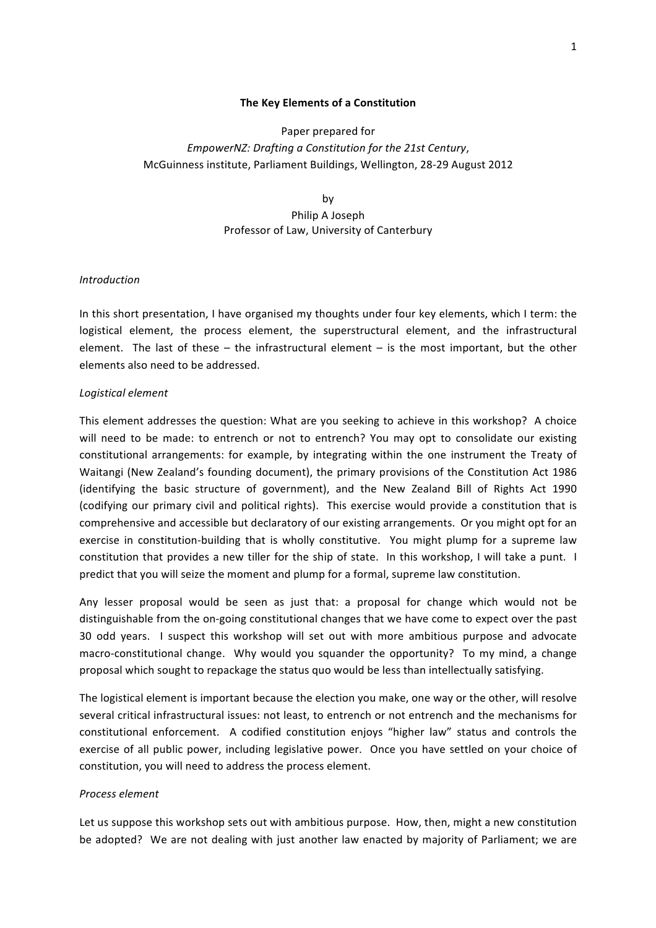## **The Key Elements of a Constitution**

# Paper prepared for *EmpowerNZ: Drafting a Constitution for the 21st Century,* McGuinness institute, Parliament Buildings, Wellington, 28-29 August 2012

by Philip A Joseph Professor of Law, University of Canterbury

# *Introduction*

In this short presentation, I have organised my thoughts under four key elements, which I term: the logistical element, the process element, the superstructural element, and the infrastructural element. The last of these – the infrastructural element – is the most important, but the other elements also need to be addressed.

## *Logistical+element*

This element addresses the question: What are you seeking to achieve in this workshop? A choice will need to be made: to entrench or not to entrench? You may opt to consolidate our existing constitutional arrangements: for example, by integrating within the one instrument the Treaty of Waitangi (New Zealand's founding document), the primary provisions of the Constitution Act 1986 (identifying the basic structure of government), and the New Zealand Bill of Rights Act 1990 (codifying our primary civil and political rights). This exercise would provide a constitution that is comprehensive and accessible but declaratory of our existing arrangements. Or you might opt for an exercise in constitution-building that is wholly constitutive. You might plump for a supreme law constitution that provides a new tiller for the ship of state. In this workshop, I will take a punt. I predict that you will seize the moment and plump for a formal, supreme law constitution.

Any lesser proposal would be seen as just that: a proposal for change which would not be distinguishable from the on-going constitutional changes that we have come to expect over the past 30 odd years. I suspect this workshop will set out with more ambitious purpose and advocate macro-constitutional change. Why would you squander the opportunity? To my mind, a change proposal which sought to repackage the status quo would be less than intellectually satisfying.

The logistical element is important because the election you make, one way or the other, will resolve several critical infrastructural issues: not least, to entrench or not entrench and the mechanisms for constitutional enforcement. A codified constitution enjoys "higher law" status and controls the exercise of all public power, including legislative power. Once you have settled on your choice of constitution, you will need to address the process element.

#### *Process+element*

Let us suppose this workshop sets out with ambitious purpose. How, then, might a new constitution be adopted? We are not dealing with just another law enacted by majority of Parliament; we are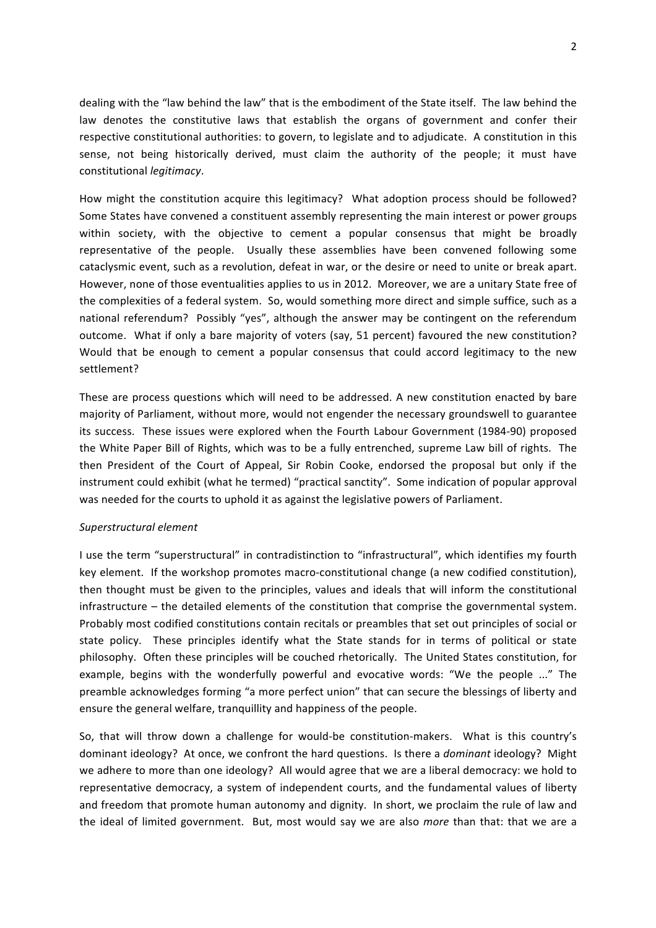dealing with the "law behind the law" that is the embodiment of the State itself. The law behind the law denotes the constitutive laws that establish the organs of government and confer their respective constitutional authorities: to govern, to legislate and to adjudicate. A constitution in this sense, not being historically derived, must claim the authority of the people; it must have constitutional *legitimacy*.

How might the constitution acquire this legitimacy? What adoption process should be followed? Some States have convened a constituent assembly representing the main interest or power groups within society, with the objective to cement a popular consensus that might be broadly representative of the people. Usually these assemblies have been convened following some cataclysmic event, such as a revolution, defeat in war, or the desire or need to unite or break apart. However, none of those eventualities applies to us in 2012. Moreover, we are a unitary State free of the complexities of a federal system. So, would something more direct and simple suffice, such as a national referendum? Possibly "yes", although the answer may be contingent on the referendum outcome. What if only a bare majority of voters (say, 51 percent) favoured the new constitution? Would that be enough to cement a popular consensus that could accord legitimacy to the new settlement?

These are process questions which will need to be addressed. A new constitution enacted by bare majority of Parliament, without more, would not engender the necessary groundswell to guarantee its success. These issues were explored when the Fourth Labour Government (1984-90) proposed the White Paper Bill of Rights, which was to be a fully entrenched, supreme Law bill of rights. The then President of the Court of Appeal, Sir Robin Cooke, endorsed the proposal but only if the instrument could exhibit (what he termed) "practical sanctity". Some indication of popular approval was needed for the courts to uphold it as against the legislative powers of Parliament.

# *Superstructural+element*

I use the term "superstructural" in contradistinction to "infrastructural", which identifies my fourth key element. If the workshop promotes macro-constitutional change (a new codified constitution), then thought must be given to the principles, values and ideals that will inform the constitutional infrastructure – the detailed elements of the constitution that comprise the governmental system. Probably most codified constitutions contain recitals or preambles that set out principles of social or state policy. These principles identify what the State stands for in terms of political or state philosophy. Often these principles will be couched rhetorically. The United States constitution, for example, begins with the wonderfully powerful and evocative words: "We the people ..." The preamble acknowledges forming "a more perfect union" that can secure the blessings of liberty and ensure the general welfare, tranquillity and happiness of the people.

So, that will throw down a challenge for would-be constitution-makers. What is this country's dominant ideology? At once, we confront the hard questions. Is there a *dominant* ideology? Might we adhere to more than one ideology? All would agree that we are a liberal democracy: we hold to representative democracy, a system of independent courts, and the fundamental values of liberty and freedom that promote human autonomy and dignity. In short, we proclaim the rule of law and the ideal of limited government. But, most would say we are also *more* than that: that we are a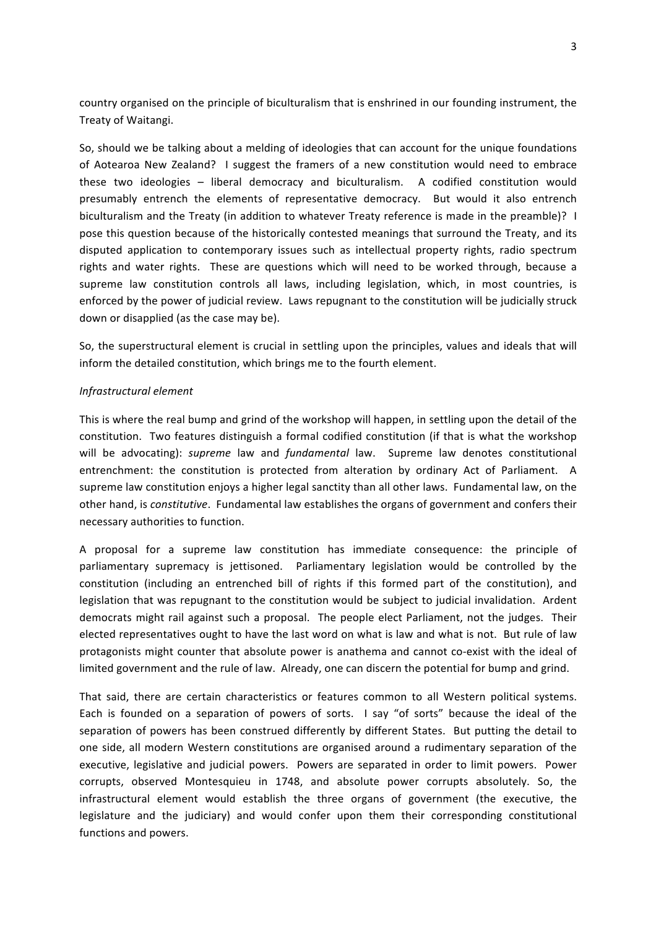country organised on the principle of biculturalism that is enshrined in our founding instrument, the Treaty of Waitangi.

So, should we be talking about a melding of ideologies that can account for the unique foundations of Aotearoa New Zealand? I suggest the framers of a new constitution would need to embrace these two ideologies – liberal democracy and biculturalism. A codified constitution would presumably entrench the elements of representative democracy. But would it also entrench biculturalism and the Treaty (in addition to whatever Treaty reference is made in the preamble)? I pose this question because of the historically contested meanings that surround the Treaty, and its disputed application to contemporary issues such as intellectual property rights, radio spectrum rights and water rights. These are questions which will need to be worked through, because a supreme law constitution controls all laws, including legislation, which, in most countries, is enforced by the power of judicial review. Laws repugnant to the constitution will be judicially struck down or disapplied (as the case may be).

So, the superstructural element is crucial in settling upon the principles, values and ideals that will inform the detailed constitution, which brings me to the fourth element.

# *Infrastructural+element*

This is where the real bump and grind of the workshop will happen, in settling upon the detail of the constitution. Two features distinguish a formal codified constitution (if that is what the workshop will be advocating): *supreme* law and *fundamental* law. Supreme law denotes constitutional entrenchment: the constitution is protected from alteration by ordinary Act of Parliament. A supreme law constitution enjoys a higher legal sanctity than all other laws. Fundamental law, on the other hand, is *constitutive*. Fundamental law establishes the organs of government and confers their necessary authorities to function.

A proposal for a supreme law constitution has immediate consequence: the principle of parliamentary supremacy is jettisoned. Parliamentary legislation would be controlled by the constitution (including an entrenched bill of rights if this formed part of the constitution), and legislation that was repugnant to the constitution would be subject to judicial invalidation. Ardent democrats might rail against such a proposal. The people elect Parliament, not the judges. Their elected representatives ought to have the last word on what is law and what is not. But rule of law protagonists might counter that absolute power is anathema and cannot co-exist with the ideal of limited government and the rule of law. Already, one can discern the potential for bump and grind.

That said, there are certain characteristics or features common to all Western political systems. Each is founded on a separation of powers of sorts. I say "of sorts" because the ideal of the separation of powers has been construed differently by different States. But putting the detail to one side, all modern Western constitutions are organised around a rudimentary separation of the executive, legislative and judicial powers. Powers are separated in order to limit powers. Power corrupts, observed Montesquieu in 1748, and absolute power corrupts absolutely. So, the infrastructural element would establish the three organs of government (the executive, the legislature and the judiciary) and would confer upon them their corresponding constitutional functions and powers.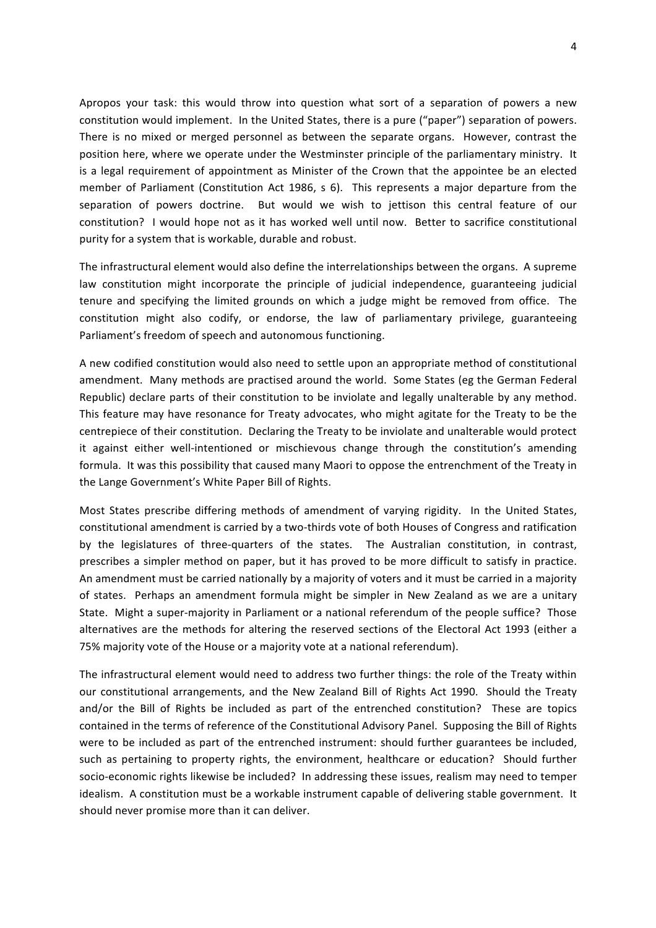Apropos your task: this would throw into question what sort of a separation of powers a new constitution would implement. In the United States, there is a pure ("paper") separation of powers. There is no mixed or merged personnel as between the separate organs. However, contrast the position here, where we operate under the Westminster principle of the parliamentary ministry. It is a legal requirement of appointment as Minister of the Crown that the appointee be an elected member of Parliament (Constitution Act 1986, s 6). This represents a major departure from the separation of powers doctrine. " But would we wish to jettison this central feature of our constitution? I would hope not as it has worked well until now. Better to sacrifice constitutional purity for a system that is workable, durable and robust.

The infrastructural element would also define the interrelationships between the organs. A supreme law constitution might incorporate the principle of judicial independence, guaranteeing judicial tenure and specifying the limited grounds on which a judge might be removed from office. The constitution might also codify, or endorse, the law of parliamentary privilege, guaranteeing Parliament's freedom of speech and autonomous functioning.

A new codified constitution would also need to settle upon an appropriate method of constitutional amendment. Many methods are practised around the world. Some States (eg the German Federal Republic) declare parts of their constitution to be inviolate and legally unalterable by any method. This feature may have resonance for Treaty advocates, who might agitate for the Treaty to be the centrepiece of their constitution. Declaring the Treaty to be inviolate and unalterable would protect it against either well-intentioned or mischievous change through the constitution's amending formula. It was this possibility that caused many Maori to oppose the entrenchment of the Treaty in the Lange Government's White Paper Bill of Rights.

Most States prescribe differing methods of amendment of varying rigidity. In the United States, constitutional amendment is carried by a two-thirds vote of both Houses of Congress and ratification by the legislatures of three-quarters of the states. The Australian constitution, in contrast, prescribes a simpler method on paper, but it has proved to be more difficult to satisfy in practice. An amendment must be carried nationally by a majority of voters and it must be carried in a majority of states. Perhaps an amendment formula might be simpler in New Zealand as we are a unitary State. Might a super-majority in Parliament or a national referendum of the people suffice? Those alternatives are the methods for altering the reserved sections of the Electoral Act 1993 (either a 75% majority vote of the House or a majority vote at a national referendum).

The infrastructural element would need to address two further things: the role of the Treaty within our constitutional arrangements, and the New Zealand Bill of Rights Act 1990. Should the Treaty and/or the Bill of Rights be included as part of the entrenched constitution? These are topics contained in the terms of reference of the Constitutional Advisory Panel. Supposing the Bill of Rights" were to be included as part of the entrenched instrument: should further guarantees be included, such as pertaining to property rights, the environment, healthcare or education? Should further socio-economic rights likewise be included? In addressing these issues, realism may need to temper idealism. A constitution must be a workable instrument capable of delivering stable government. It should never promise more than it can deliver.